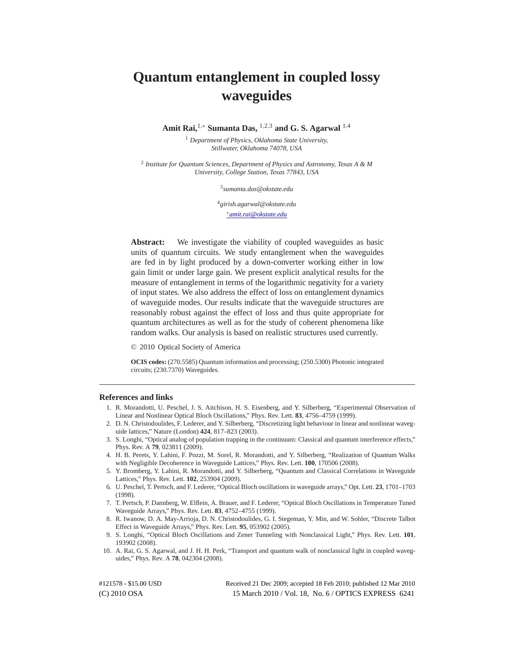# **Quantum entanglement in coupled lossy waveguides**

**Amit Rai,**1*,*<sup>∗</sup> **Sumanta Das,** <sup>1</sup>*,*2*,*<sup>3</sup> **and G. S. Agarwal** <sup>1</sup>*,*<sup>4</sup>

<sup>1</sup> *Department of Physics, Oklahoma State University, Stillwater, Oklahoma 74078, USA*

<sup>2</sup> *Institute for Quantum Sciences, Department of Physics and Astronomy, Texas A & M University, College Station, Texas 77843, USA*

<sup>3</sup>*sumanta.das@okstate.edu*

<sup>4</sup>*girish.agarwal@okstate.edu* <sup>∗</sup>*amit.rai@okstate.edu*

**Abstract:** We investigate the viability of coupled waveguides as basic units of quantum circuits. We study entanglement when the waveguides are fed in by light produced by a down-converter working either in low gain limit or under large gain. We present explicit analytical results for the measure of entanglement in terms of the logarithmic negativity for a variety of input states. We also address the effect of loss on entanglement dynamics of waveguide modes. Our results indicate that the waveguide structures are reasonably robust against the effect of loss and thus quite appropriate for quantum architectures as well as for the study of coherent phenomena like random walks. Our analysis is based on realistic structures used currently.

© 2010 Optical Society of America

**OCIS codes:** (270.5585) Quantum information and processing; (250.5300) Photonic integrated circuits; (230.7370) Waveguides.

#### **References and links**

- 1. R. Morandotti, U. Peschel, J. S. Aitchison, H. S. Eisenberg, and Y. Silberberg, "Experimental Observation of Linear and Nonlinear Optical Bloch Oscillations," Phys. Rev. Lett. **83**, 4756–4759 (1999).
- 2. D. N. Christodoulides, F. Lederer, and Y. Silberberg, "Discretizing light behaviour in linear and nonlinear waveguide lattices," Nature (London) **424**, 817–823 (2003).
- 3. S. Longhi, "Optical analog of population trapping in the continuum: Classical and quantum interference effects," Phys. Rev. A **79**, 023811 (2009).
- 4. H. B. Perets, Y. Lahini, F. Pozzi, M. Sorel, R. Morandotti, and Y. Silberberg, "Realization of Quantum Walks with Negligible Decoherence in Waveguide Lattices," Phys. Rev. Lett. **100**, 170506 (2008).
- 5. Y. Bromberg, Y. Lahini, R. Morandotti, and Y. Silberberg, "Quantum and Classical Correlations in Waveguide Lattices," Phys. Rev. Lett. **102**, 253904 (2009).
- 6. U. Peschel, T. Pertsch, and F. Lederer, "Optical Bloch oscillations in waveguide arrays," Opt. Lett. **23**, 1701–1703 (1998).
- 7. T. Pertsch, P. Dannberg, W. Elflein, A. Brauer, and F. Lederer, "Optical Bloch Oscillations in Temperature Tuned Waveguide Arrays," Phys. Rev. Lett. **83**, 4752–4755 (1999).
- 8. R. Iwanow, D. A. May-Arrioja, D. N. Christodoulides, G. I. Stegeman, Y. Min, and W. Sohler, "Discrete Talbot Effect in Waveguide Arrays," Phys. Rev. Lett. **95**, 053902 (2005).
- 9. S. Longhi, "Optical Bloch Oscillations and Zener Tunneling with Nonclassical Light," Phys. Rev. Lett. **101**, 193902 (2008).
- 10. A. Rai, G. S. Agarwal, and J. H. H. Perk, "Transport and quantum walk of nonclassical light in coupled waveguides," Phys. Rev. A **78**, 042304 (2008).

(C) 2010 OSA 15 March 2010 / Vol. 18, No. 6 / OPTICS EXPRESS 6241 #121578 - \$15.00 USD Received 21 Dec 2009; accepted 18 Feb 2010; published 12 Mar 2010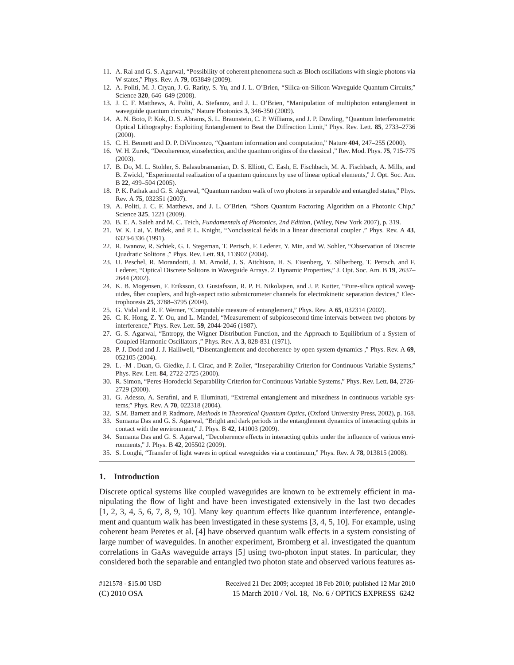- 11. A. Rai and G. S. Agarwal, "Possibility of coherent phenomena such as Bloch oscillations with single photons via W states," Phys. Rev. A **79**, 053849 (2009).
- 12. A. Politi, M. J. Cryan, J. G. Rarity, S. Yu, and J. L. O'Brien, "Silica-on-Silicon Waveguide Quantum Circuits," Science **320**, 646–649 (2008).
- 13. J. C. F. Matthews, A. Politi, A. Stefanov, and J. L. O'Brien, "Manipulation of multiphoton entanglement in waveguide quantum circuits," Nature Photonics **3**, 346-350 (2009).
- 14. A. N. Boto, P. Kok, D. S. Abrams, S. L. Braunstein, C. P. Williams, and J. P. Dowling, "Quantum Interferometric Optical Lithography: Exploiting Entanglement to Beat the Diffraction Limit," Phys. Rev. Lett. **85**, 2733–2736 (2000).
- 15. C. H. Bennett and D. P. DiVincenzo, "Quantum information and computation," Nature **404**, 247–255 (2000).
- 16. W. H. Zurek, "Decoherence, einselection, and the quantum origins of the classical ," Rev. Mod. Phys. **75**, 715-775 (2003).
- 17. B. Do, M. L. Stohler, S. Balasubramanian, D. S. Elliott, C. Eash, E. Fischbach, M. A. Fischbach, A. Mills, and B. Zwickl, "Experimental realization of a quantum quincunx by use of linear optical elements," J. Opt. Soc. Am. B **22**, 499–504 (2005).
- 18. P. K. Pathak and G. S. Agarwal, "Quantum random walk of two photons in separable and entangled states," Phys. Rev. A **75**, 032351 (2007).
- 19. A. Politi, J. C. F. Matthews, and J. L. O'Brien, "Shors Quantum Factoring Algorithm on a Photonic Chip," Science **325**, 1221 (2009).
- 20. B. E. A. Saleh and M. C. Teich, *Fundamentals of Photonics, 2nd Edition*, (Wiley, New York 2007), p. 319.
- 21. W. K. Lai, V. Bužek, and P. L. Knight, "Nonclassical fields in a linear directional coupler ," Phys. Rev. A 43, 6323-6336 (1991).
- 22. R. Iwanow, R. Schiek, G. I. Stegeman, T. Pertsch, F. Lederer, Y. Min, and W. Sohler, "Observation of Discrete Quadratic Solitons ," Phys. Rev. Lett. **93**, 113902 (2004).
- 23. U. Peschel, R. Morandotti, J. M. Arnold, J. S. Aitchison, H. S. Eisenberg, Y. Silberberg, T. Pertsch, and F. Lederer, "Optical Discrete Solitons in Waveguide Arrays. 2. Dynamic Properties," J. Opt. Soc. Am. B **19**, 2637– 2644 (2002).
- 24. K. B. Mogensen, F. Eriksson, O. Gustafsson, R. P. H. Nikolajsen, and J. P. Kutter, "Pure-silica optical waveguides, fiber couplers, and high-aspect ratio submicrometer channels for electrokinetic separation devices," Electrophoresis **25**, 3788–3795 (2004).
- 25. G. Vidal and R. F. Werner, "Computable measure of entanglement," Phys. Rev. A **65**, 032314 (2002).
- 26. C. K. Hong, Z. Y. Ou, and L. Mandel, "Measurement of subpicosecond time intervals between two photons by interference," Phys. Rev. Lett. **59**, 2044-2046 (1987).
- 27. G. S. Agarwal, "Entropy, the Wigner Distribution Function, and the Approach to Equilibrium of a System of Coupled Harmonic Oscillators ," Phys. Rev. A **3**, 828-831 (1971).
- 28. P. J. Dodd and J. J. Halliwell, "Disentanglement and decoherence by open system dynamics ," Phys. Rev. A **69**, 052105 (2004).
- 29. L. -M . Duan, G. Giedke, J. I. Cirac, and P. Zoller, "Inseparability Criterion for Continuous Variable Systems," Phys. Rev. Lett. **84**, 2722-2725 (2000).
- 30. R. Simon, "Peres-Horodecki Separability Criterion for Continuous Variable Systems," Phys. Rev. Lett. **84**, 2726- 2729 (2000).
- 31. G. Adesso, A. Serafini, and F. Illuminati, "Extremal entanglement and mixedness in continuous variable systems," Phys. Rev. A **70**, 022318 (2004).
- 32. S.M. Barnett and P. Radmore, *Methods in Theoretical Quantum Optics*, (Oxford University Press, 2002), p. 168.
- 33. Sumanta Das and G. S. Agarwal, "Bright and dark periods in the entanglement dynamics of interacting qubits in contact with the environment," J. Phys. B **42**, 141003 (2009).
- 34. Sumanta Das and G. S. Agarwal, "Decoherence effects in interacting qubits under the influence of various environments," J. Phys. B **42**, 205502 (2009).
- 35. S. Longhi, "Transfer of light waves in optical waveguides via a continuum," Phys. Rev. A **78**, 013815 (2008).

# **1. Introduction**

Discrete optical systems like coupled waveguides are known to be extremely efficient in manipulating the flow of light and have been investigated extensively in the last two decades [1, 2, 3, 4, 5, 6, 7, 8, 9, 10]. Many key quantum effects like quantum interference, entanglement and quantum walk has been investigated in these systems [3, 4, 5, 10]. For example, using coherent beam Peretes et al. [4] have observed quantum walk effects in a system consisting of large number of waveguides. In another experiment, Bromberg et al. investigated the quantum correlations in GaAs waveguide arrays [5] using two-photon input states. In particular, they considered both the separable and entangled two photon state and observed various features as-

| #121578 - \$15.00 USD | Received 21 Dec 2009; accepted 18 Feb 2010; published 12 Mar 2010 |
|-----------------------|-------------------------------------------------------------------|
| (C) 2010 OSA          | 15 March 2010 / Vol. 18, No. 6 / OPTICS EXPRESS 6242              |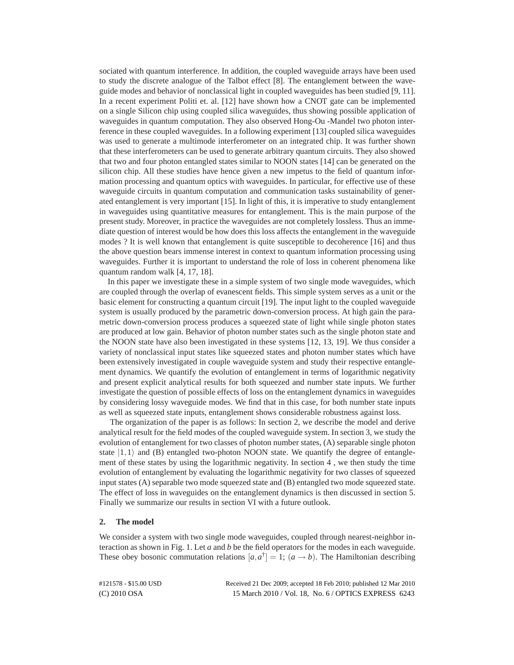sociated with quantum interference. In addition, the coupled waveguide arrays have been used to study the discrete analogue of the Talbot effect [8]. The entanglement between the waveguide modes and behavior of nonclassical light in coupled waveguides has been studied [9, 11]. In a recent experiment Politi et. al. [12] have shown how a CNOT gate can be implemented on a single Silicon chip using coupled silica waveguides, thus showing possible application of waveguides in quantum computation. They also observed Hong-Ou -Mandel two photon interference in these coupled waveguides. In a following experiment [13] coupled silica waveguides was used to generate a multimode interferometer on an integrated chip. It was further shown that these interferometers can be used to generate arbitrary quantum circuits. They also showed that two and four photon entangled states similar to NOON states [14] can be generated on the silicon chip. All these studies have hence given a new impetus to the field of quantum information processing and quantum optics with waveguides. In particular, for effective use of these waveguide circuits in quantum computation and communication tasks sustainability of generated entanglement is very important [15]. In light of this, it is imperative to study entanglement in waveguides using quantitative measures for entanglement. This is the main purpose of the present study. Moreover, in practice the waveguides are not completely lossless. Thus an immediate question of interest would be how does this loss affects the entanglement in the waveguide modes ? It is well known that entanglement is quite susceptible to decoherence [16] and thus the above question bears immense interest in context to quantum information processing using waveguides. Further it is important to understand the role of loss in coherent phenomena like quantum random walk [4, 17, 18].

In this paper we investigate these in a simple system of two single mode waveguides, which are coupled through the overlap of evanescent fields. This simple system serves as a unit or the basic element for constructing a quantum circuit [19]. The input light to the coupled waveguide system is usually produced by the parametric down-conversion process. At high gain the parametric down-conversion process produces a squeezed state of light while single photon states are produced at low gain. Behavior of photon number states such as the single photon state and the NOON state have also been investigated in these systems [12, 13, 19]. We thus consider a variety of nonclassical input states like squeezed states and photon number states which have been extensively investigated in couple waveguide system and study their respective entanglement dynamics. We quantify the evolution of entanglement in terms of logarithmic negativity and present explicit analytical results for both squeezed and number state inputs. We further investigate the question of possible effects of loss on the entanglement dynamics in waveguides by considering lossy waveguide modes. We find that in this case, for both number state inputs as well as squeezed state inputs, entanglement shows considerable robustness against loss.

The organization of the paper is as follows: In section 2, we describe the model and derive analytical result for the field modes of the coupled waveguide system. In section 3, we study the evolution of entanglement for two classes of photon number states, (A) separable single photon state  $|1,1\rangle$  and (B) entangled two-photon NOON state. We quantify the degree of entanglement of these states by using the logarithmic negativity. In section 4 , we then study the time evolution of entanglement by evaluating the logarithmic negativity for two classes of squeezed input states (A) separable two mode squeezed state and (B) entangled two mode squeezed state. The effect of loss in waveguides on the entanglement dynamics is then discussed in section 5. Finally we summarize our results in section VI with a future outlook.

## **2. The model**

We consider a system with two single mode waveguides, coupled through nearest-neighbor interaction as shown in Fig. 1. Let *a* and *b* be the field operators for the modes in each waveguide. These obey bosonic commutation relations  $[a, a^{\dagger}] = 1$ ;  $(a \rightarrow b)$ . The Hamiltonian describing

| #121578 - \$15.00 USD | Received 21 Dec 2009; accepted 18 Feb 2010; published 12 Mar 2010 |
|-----------------------|-------------------------------------------------------------------|
| (C) 2010 OSA          | 15 March 2010 / Vol. 18, No. 6 / OPTICS EXPRESS 6243              |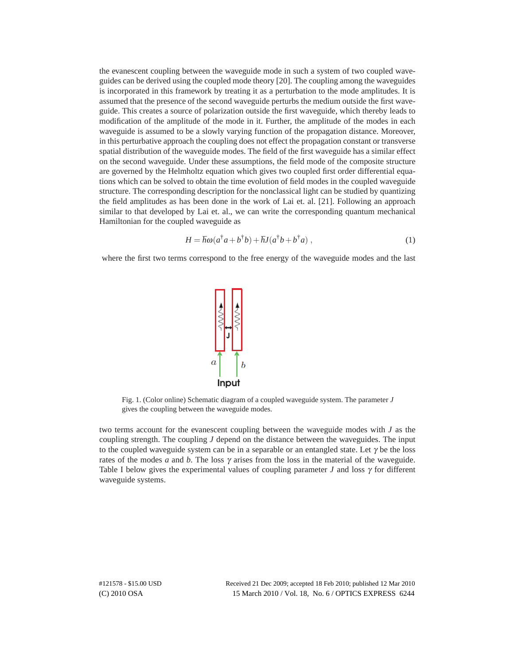the evanescent coupling between the waveguide mode in such a system of two coupled waveguides can be derived using the coupled mode theory [20]. The coupling among the waveguides is incorporated in this framework by treating it as a perturbation to the mode amplitudes. It is assumed that the presence of the second waveguide perturbs the medium outside the first waveguide. This creates a source of polarization outside the first waveguide, which thereby leads to modification of the amplitude of the mode in it. Further, the amplitude of the modes in each waveguide is assumed to be a slowly varying function of the propagation distance. Moreover, in this perturbative approach the coupling does not effect the propagation constant or transverse spatial distribution of the waveguide modes. The field of the first waveguide has a similar effect on the second waveguide. Under these assumptions, the field mode of the composite structure are governed by the Helmholtz equation which gives two coupled first order differential equations which can be solved to obtain the time evolution of field modes in the coupled waveguide structure. The corresponding description for the nonclassical light can be studied by quantizing the field amplitudes as has been done in the work of Lai et. al. [21]. Following an approach similar to that developed by Lai et. al., we can write the corresponding quantum mechanical Hamiltonian for the coupled waveguide as

$$
H = \hbar \omega (a^{\dagger} a + b^{\dagger} b) + \hbar J (a^{\dagger} b + b^{\dagger} a) , \qquad (1)
$$

where the first two terms correspond to the free energy of the waveguide modes and the last



Fig. 1. (Color online) Schematic diagram of a coupled waveguide system. The parameter *J* gives the coupling between the waveguide modes.

two terms account for the evanescent coupling between the waveguide modes with *J* as the coupling strength. The coupling *J* depend on the distance between the waveguides. The input to the coupled waveguide system can be in a separable or an entangled state. Let  $\gamma$  be the loss rates of the modes *a* and *b*. The loss  $\gamma$  arises from the loss in the material of the waveguide. Table I below gives the experimental values of coupling parameter *J* and loss  $\gamma$  for different waveguide systems.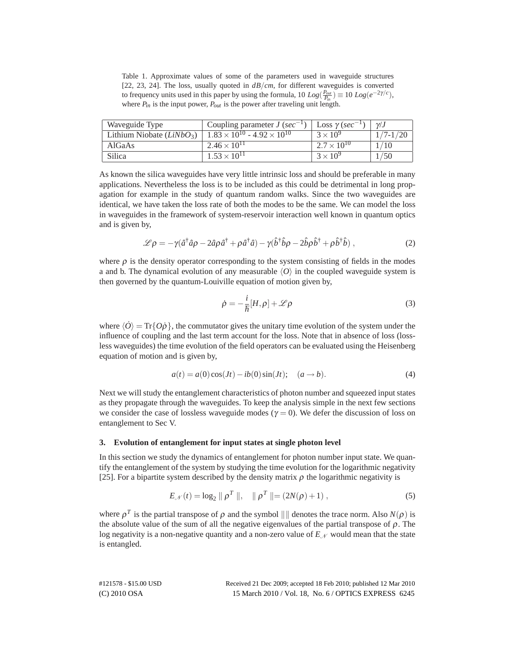Table 1. Approximate values of some of the parameters used in waveguide structures [22, 23, 24]. The loss, usually quoted in *dB/cm*, for different waveguides is converted to frequency units used in this paper by using the formula,  $10 Log(\frac{P_{out}}{P_{in}}) \equiv 10 Log(e^{-2\gamma/c})$ , where  $P_{in}$  is the input power,  $P_{out}$  is the power after traveling unit length.

| Waveguide Type             | Coupling parameter $J$ (sec <sup>-1</sup> )   | Loss $\gamma$ (sec <sup>-1</sup> ) | $\nu$ .J    |
|----------------------------|-----------------------------------------------|------------------------------------|-------------|
| Lithium Niobate $(LiNbO3)$ | $1.83 \times 10^{10}$ – $4.92 \times 10^{10}$ | $3 \times 10^9$                    | $/7 - 1/20$ |
| AlGaAs                     | $2.46 \times 10^{11}$                         | $2.7 \times 10^{10}$               |             |
| Silica                     | $1.53 \times 10^{11}$                         | $3 \times 10^{9}$                  | /50         |

As known the silica waveguides have very little intrinsic loss and should be preferable in many applications. Nevertheless the loss is to be included as this could be detrimental in long propagation for example in the study of quantum random walks. Since the two waveguides are identical, we have taken the loss rate of both the modes to be the same. We can model the loss in waveguides in the framework of system-reservoir interaction well known in quantum optics and is given by,

$$
\mathcal{L}\rho = -\gamma(\hat{a}^{\dagger}\hat{a}\rho - 2\hat{a}\rho\hat{a}^{\dagger} + \rho\hat{a}^{\dagger}\hat{a}) - \gamma(\hat{b}^{\dagger}\hat{b}\rho - 2\hat{b}\rho\hat{b}^{\dagger} + \rho\hat{b}^{\dagger}\hat{b}), \qquad (2)
$$

where  $\rho$  is the density operator corresponding to the system consisting of fields in the modes a and b. The dynamical evolution of any measurable  $\langle O \rangle$  in the coupled waveguide system is then governed by the quantum-Louiville equation of motion given by,

$$
\dot{\rho} = -\frac{i}{\hbar} [H, \rho] + \mathcal{L}\rho \tag{3}
$$

where  $\langle \hat{O} \rangle = \text{Tr} \{ O \hat{\rho} \}$ , the commutator gives the unitary time evolution of the system under the influence of coupling and the last term account for the loss. Note that in absence of loss (lossless waveguides) the time evolution of the field operators can be evaluated using the Heisenberg equation of motion and is given by,

$$
a(t) = a(0)\cos(Jt) - ib(0)\sin(Jt); \quad (a \to b).
$$
 (4)

Next we will study the entanglement characteristics of photon number and squeezed input states as they propagate through the waveguides. To keep the analysis simple in the next few sections we consider the case of lossless waveguide modes ( $\gamma = 0$ ). We defer the discussion of loss on entanglement to Sec V.

# **3. Evolution of entanglement for input states at single photon level**

In this section we study the dynamics of entanglement for photon number input state. We quantify the entanglement of the system by studying the time evolution for the logarithmic negativity [25]. For a bipartite system described by the density matrix  $\rho$  the logarithmic negativity is

$$
E_{\mathscr{N}}(t) = \log_2 \| \rho^T \|, \quad \| \rho^T \| = (2N(\rho) + 1) , \tag{5}
$$

where  $\rho^T$  is the partial transpose of  $\rho$  and the symbol  $\|\|\$  denotes the trace norm. Also  $N(\rho)$  is the absolute value of the sum of all the negative eigenvalues of the partial transpose of  $\rho$ . The log negativity is a non-negative quantity and a non-zero value of  $E_N$  would mean that the state is entangled.

| #121578 - \$15.00 USD | Received 21 Dec 2009; accepted 18 Feb 2010; published 12 Mar 2010 |
|-----------------------|-------------------------------------------------------------------|
| (C) 2010 OSA          | 15 March 2010 / Vol. 18, No. 6 / OPTICS EXPRESS 6245              |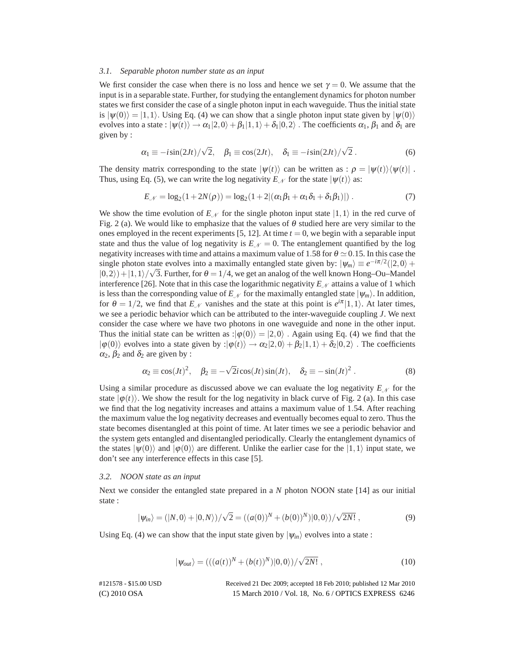#### *3.1. Separable photon number state as an input*

We first consider the case when there is no loss and hence we set  $\gamma = 0$ . We assume that the input is in a separable state. Further, for studying the entanglement dynamics for photon number states we first consider the case of a single photon input in each waveguide. Thus the initial state is  $|\psi(0)\rangle = |1,1\rangle$ . Using Eq. (4) we can show that a single photon input state given by  $|\psi(0)\rangle$ evolves into a state :  $|\psi(t)\rangle \rightarrow \alpha_1|2,0\rangle + \beta_1|1,1\rangle + \delta_1|0,2\rangle$ . The coefficients  $\alpha_1$ ,  $\beta_1$  and  $\delta_1$  are given by :

$$
\alpha_1 \equiv -i\sin(2Jt)/\sqrt{2}, \quad \beta_1 \equiv \cos(2Jt), \quad \delta_1 \equiv -i\sin(2Jt)/\sqrt{2} \ . \tag{6}
$$

The density matrix corresponding to the state  $|\psi(t)\rangle$  can be written as :  $\rho = |\psi(t)\rangle\langle \psi(t)|$ . Thus, using Eq. (5), we can write the log negativity  $E_N$  for the state  $|\psi(t)\rangle$  as:

$$
E_{\mathcal{N}} = \log_2(1 + 2N(\rho)) = \log_2(1 + 2|(\alpha_1 \beta_1 + \alpha_1 \delta_1 + \delta_1 \beta_1)|) \tag{7}
$$

We show the time evolution of  $E_N$  for the single photon input state  $|1,1\rangle$  in the red curve of Fig. 2 (a). We would like to emphasize that the values of  $\theta$  studied here are very similar to the ones employed in the recent experiments  $[5, 12]$ . At time  $t = 0$ , we begin with a separable input state and thus the value of log negativity is  $E_N = 0$ . The entanglement quantified by the log negativity increases with time and attains a maximum value of 1.58 for  $\theta \simeq 0.15$ . In this case the single photon state evolves into a maximally entangled state given by:  $|\psi_m\rangle \equiv e^{-i\pi/2}(|2,0\rangle +$  $|0,2\rangle$  +  $|1,1\rangle/\sqrt{3}$ . Further, for  $\theta = 1/4$ , we get an analog of the well known Hong–Ou–Mandel interference [26]. Note that in this case the logarithmic negativity  $E_M$  attains a value of 1 which is less than the corresponding value of  $E_N$  for the maximally entangled state  $|\psi_m\rangle$ . In addition, for  $\theta = 1/2$ , we find that  $E_N$  vanishes and the state at this point is  $e^{i\pi} |1,1\rangle$ . At later times, we see a periodic behavior which can be attributed to the inter-waveguide coupling *J*. We next consider the case where we have two photons in one waveguide and none in the other input. Thus the initial state can be written as : $|\phi(0)\rangle = |2,0\rangle$ . Again using Eq. (4) we find that the  $|\phi(0)\rangle$  evolves into a state given by : $|\phi(t)\rangle \rightarrow \alpha_2|2,0\rangle + \beta_2|1,1\rangle + \delta_2|0,2\rangle$ . The coefficients  $\alpha_2$ ,  $\beta_2$  and  $\delta_2$  are given by :

$$
\alpha_2 \equiv \cos(Jt)^2, \quad \beta_2 \equiv -\sqrt{2}i\cos(Jt)\sin(Jt), \quad \delta_2 \equiv -\sin(Jt)^2. \tag{8}
$$

Using a similar procedure as discussed above we can evaluate the log negativity  $E_N$  for the state  $|\varphi(t)\rangle$ . We show the result for the log negativity in black curve of Fig. 2 (a). In this case we find that the log negativity increases and attains a maximum value of 1*.*54. After reaching the maximum value the log negativity decreases and eventually becomes equal to zero. Thus the state becomes disentangled at this point of time. At later times we see a periodic behavior and the system gets entangled and disentangled periodically. Clearly the entanglement dynamics of the states  $|\psi(0)\rangle$  and  $|\phi(0)\rangle$  are different. Unlike the earlier case for the  $|1,1\rangle$  input state, we don't see any interference effects in this case [5].

#### *3.2. NOON state as an input*

Next we consider the entangled state prepared in a *N* photon NOON state [14] as our initial state :

$$
|\psi_{in}\rangle = (|N,0\rangle + |0,N\rangle)/\sqrt{2} = ((a(0))^N + (b(0))^N)|0,0\rangle)/\sqrt{2N!},
$$
\n(9)

Using Eq. (4) we can show that the input state given by  $|\psi_{in}\rangle$  evolves into a state :

$$
|\psi_{out}\rangle = (((a(t))^N + (b(t))^N)|0,0\rangle)/\sqrt{2N!},
$$
\n(10)

(C) 2010 OSA 15 March 2010 / Vol. 18, No. 6 / OPTICS EXPRESS 6246 #121578 - \$15.00 USD Received 21 Dec 2009; accepted 18 Feb 2010; published 12 Mar 2010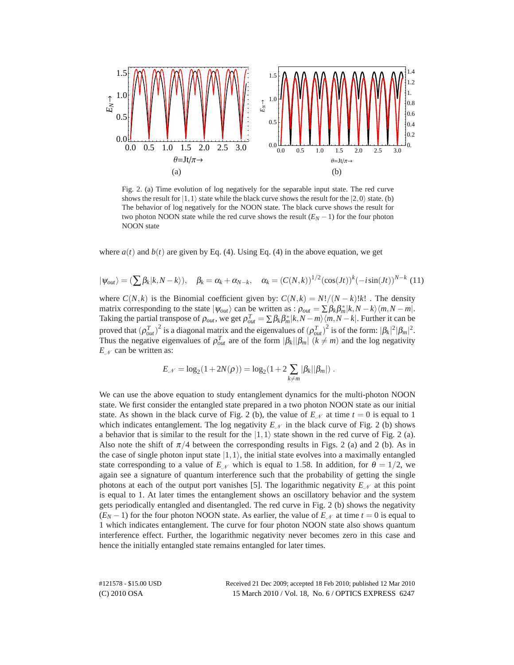

Fig. 2. (a) Time evolution of log negatively for the separable input state. The red curve shows the result for  $|1,1\rangle$  state while the black curve shows the result for the  $|2,0\rangle$  state. (b) The behavior of log negatively for the NOON state. The black curve shows the result for two photon NOON state while the red curve shows the result  $(E_N - 1)$  for the four photon NOON state

where  $a(t)$  and  $b(t)$  are given by Eq. (4). Using Eq. (4) in the above equation, we get

$$
|\psi_{out}\rangle = (\sum \beta_k |k, N - k\rangle), \quad \beta_k = \alpha_k + \alpha_{N-k}, \quad \alpha_k = (C(N, k))^{1/2} (\cos(Jt))^k (-i\sin(Jt))^{N-k} (11)
$$

where  $C(N,k)$  is the Binomial coefficient given by:  $C(N,k) = N!/(N-k)!k!$ . The density matrix corresponding to the state  $|\psi_{out}\rangle$  can be written as :  $\rho_{out} = \sum \beta_k \beta_m^* |k, N - k\rangle \langle m, N - m|$ . Taking the partial transpose of  $\rho_{out}$ , we get  $\rho_{out}^T = \sum \beta_k \beta_m^* |k, N - m\rangle \langle m, N - k|$ . Further it can be proved that  $(\rho_{out}^T)^2$  is a diagonal matrix and the eigenvalues of  $(\rho_{out}^T)^2$  is of the form:  $|\beta_k|^2 |\beta_m|^2$ . Thus the negative eigenvalues of  $\rho_{out}^T$  are of the form  $|\beta_k||\beta_m|$  ( $k \neq m$ ) and the log negativity *E<sup>N</sup>* can be written as:

$$
E_{\mathscr{N}} = \log_2(1 + 2N(\rho)) = \log_2(1 + 2\sum_{k \neq m} |\beta_k||\beta_m|).
$$

We can use the above equation to study entanglement dynamics for the multi-photon NOON state. We first consider the entangled state prepared in a two photon NOON state as our initial state. As shown in the black curve of Fig. 2 (b), the value of  $E_N$  at time  $t = 0$  is equal to 1 which indicates entanglement. The log negativity  $E_N$  in the black curve of Fig. 2 (b) shows a behavior that is similar to the result for the  $|1,1\rangle$  state shown in the red curve of Fig. 2 (a). Also note the shift of  $\pi/4$  between the corresponding results in Figs. 2 (a) and 2 (b). As in the case of single photon input state  $|1,1\rangle$ , the initial state evolves into a maximally entangled state corresponding to a value of  $E_N$  which is equal to 1.58. In addition, for  $\theta = 1/2$ , we again see a signature of quantum interference such that the probability of getting the single photons at each of the output port vanishes [5]. The logarithmic negativity  $E_N$  at this point is equal to 1. At later times the entanglement shows an oscillatory behavior and the system gets periodically entangled and disentangled. The red curve in Fig. 2 (b) shows the negativity  $(E_N - 1)$  for the four photon NOON state. As earlier, the value of  $E_N$  at time  $t = 0$  is equal to 1 which indicates entanglement. The curve for four photon NOON state also shows quantum interference effect. Further, the logarithmic negativity never becomes zero in this case and hence the initially entangled state remains entangled for later times.

(C) 2010 OSA 15 March 2010 / Vol. 18, No. 6 / OPTICS EXPRESS 6247 #121578 - \$15.00 USD Received 21 Dec 2009; accepted 18 Feb 2010; published 12 Mar 2010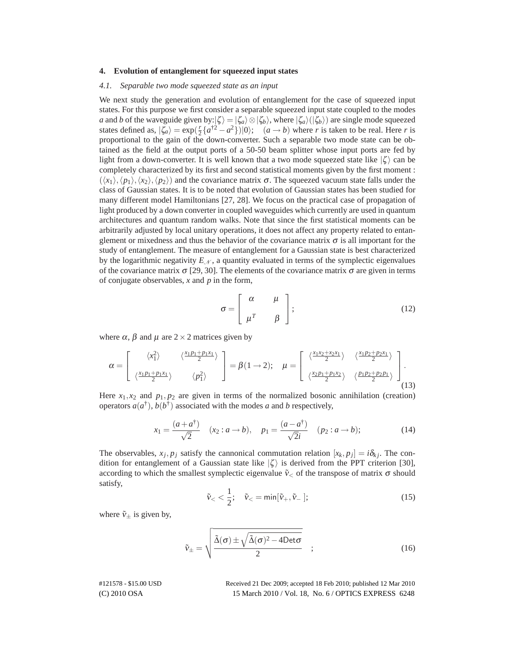### **4. Evolution of entanglement for squeezed input states**

#### *4.1. Separable two mode squeezed state as an input*

We next study the generation and evolution of entanglement for the case of squeezed input states. For this purpose we first consider a separable squeezed input state coupled to the modes *a* and *b* of the waveguide given by: $|\zeta\rangle = |\zeta_a\rangle \otimes |\zeta_b\rangle$ , where  $|\zeta_a\rangle (|\zeta_b\rangle)$  are single mode squeezed states defined as,  $|\zeta_a\rangle = \exp(\frac{r}{2}\{a^{\dagger 2} - a^2\})|0\rangle$ ;  $(a \rightarrow b)$  where *r* is taken to be real. Here *r* is proportional to the gain of the down-converter. Such a separable two mode state can be obtained as the field at the output ports of a 50-50 beam splitter whose input ports are fed by light from a down-converter. It is well known that a two mode squeezed state like  $|\zeta\rangle$  can be completely characterized by its first and second statistical moments given by the first moment :  $(\langle x_1 \rangle, \langle p_1 \rangle, \langle x_2 \rangle, \langle p_2 \rangle)$  and the covariance matrix  $\sigma$ . The squeezed vacuum state falls under the class of Gaussian states. It is to be noted that evolution of Gaussian states has been studied for many different model Hamiltonians [27, 28]. We focus on the practical case of propagation of light produced by a down converter in coupled waveguides which currently are used in quantum architectures and quantum random walks. Note that since the first statistical moments can be arbitrarily adjusted by local unitary operations, it does not affect any property related to entanglement or mixedness and thus the behavior of the covariance matrix  $\sigma$  is all important for the study of entanglement. The measure of entanglement for a Gaussian state is best characterized by the logarithmic negativity  $E<sub>N</sub>$ , a quantity evaluated in terms of the symplectic eigenvalues of the covariance matrix  $\sigma$  [29, 30]. The elements of the covariance matrix  $\sigma$  are given in terms of conjugate observables, *x* and *p* in the form,

$$
\sigma = \left[ \begin{array}{cc} \alpha & \mu \\ \mu^T & \beta \end{array} \right];\tag{12}
$$

where  $\alpha$ ,  $\beta$  and  $\mu$  are  $2 \times 2$  matrices given by

$$
\alpha = \begin{bmatrix} \langle x_1^2 \rangle & \langle \frac{x_1 p_1 + p_1 x_1}{2} \rangle \\ \langle \frac{x_1 p_1 + p_1 x_1}{2} \rangle & \langle p_1^2 \rangle \end{bmatrix} = \beta (1 \rightarrow 2); \quad \mu = \begin{bmatrix} \langle \frac{x_1 x_2 + x_2 x_1}{2} \rangle & \langle \frac{x_1 p_2 + p_2 x_1}{2} \rangle \\ \langle \frac{x_2 p_1 + p_1 x_2}{2} \rangle & \langle \frac{p_1 p_2 + p_2 p_1}{2} \rangle \end{bmatrix}.
$$
\n(13)

Here  $x_1, x_2$  and  $p_1, p_2$  are given in terms of the normalized bosonic annihilation (creation) operators  $a(a^{\dagger})$ ,  $b(b^{\dagger})$  associated with the modes *a* and *b* respectively,

$$
x_1 = \frac{(a+a^{\dagger})}{\sqrt{2}} \quad (x_2 : a \to b), \quad p_1 = \frac{(a-a^{\dagger})}{\sqrt{2}i} \quad (p_2 : a \to b); \tag{14}
$$

The observables,  $x_j$ ,  $p_j$  satisfy the cannonical commutation relation  $[x_k, p_j] = i\delta_{ki}$ . The condition for entanglement of a Gaussian state like  $|\zeta\rangle$  is derived from the PPT criterion [30], according to which the smallest symplectic eigenvalue  $\tilde{v}_<$  of the transpose of matrix  $\sigma$  should satisfy,

$$
\tilde{v}_{<} \frac{1}{2}; \quad \tilde{v}_{<} = \min[\tilde{v}_{+}, \tilde{v}_{-}];
$$
\n(15)

where  $\tilde{v}_+$  is given by,

$$
\tilde{v}_{\pm} = \sqrt{\frac{\tilde{\Delta}(\sigma) \pm \sqrt{\tilde{\Delta}(\sigma)^2 - 4 \text{Det} \sigma}}{2}} \quad ; \tag{16}
$$

(C) 2010 OSA 15 March 2010 / Vol. 18, No. 6 / OPTICS EXPRESS 6248 #121578 - \$15.00 USD Received 21 Dec 2009; accepted 18 Feb 2010; published 12 Mar 2010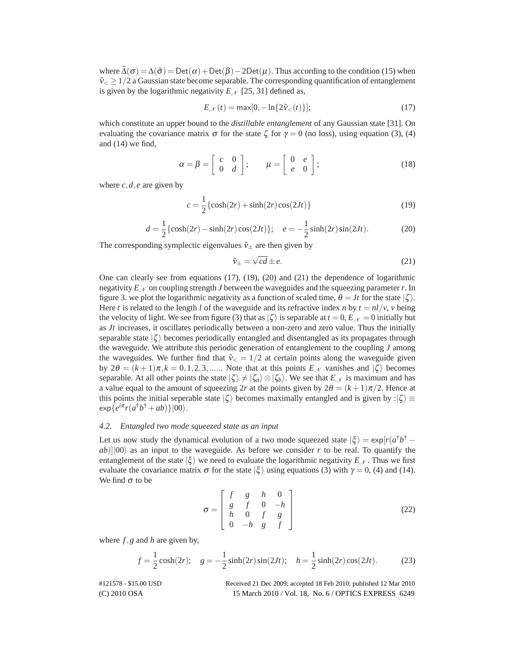where  $\tilde{\Delta}(\sigma) = \Delta(\tilde{\sigma}) = \text{Det}(\alpha) + \text{Det}(\beta) - 2\text{Det}(\mu)$ . Thus according to the condition (15) when  $\tilde{v}_< \geq 1/2$  a Gaussian state become separable. The corresponding quantification of entanglement is given by the logarithmic negativity  $E_N$  [25, 31] defined as,

$$
E_{\mathcal{N}}(t) = \max[0, -\ln\{2\tilde{v}_{<}(t)\}];
$$
\n(17)

which constitute an upper bound to the *distillable entanglement* of any Gaussian state [31]. On evaluating the covariance matrix  $\sigma$  for the state  $\zeta$  for  $\gamma = 0$  (no loss), using equation (3), (4) and (14) we find,

$$
\alpha = \beta = \left[ \begin{array}{cc} c & 0 \\ 0 & d \end{array} \right]; \qquad \mu = \left[ \begin{array}{cc} 0 & e \\ e & 0 \end{array} \right]; \tag{18}
$$

where  $c, d, e$  are given by

$$
c = \frac{1}{2} \{ \cosh(2r) + \sinh(2r) \cos(2Jt) \}
$$
 (19)

$$
d = \frac{1}{2} \{ \cosh(2r) - \sinh(2r) \cos(2Jt) \}; \quad e = -\frac{1}{2} \sinh(2r) \sin(2Jt). \tag{20}
$$

The corresponding symplectic eigenvalues  $\tilde{v}_{\pm}$  are then given by

$$
\tilde{v}_{\pm} = \sqrt{cd} \pm e. \tag{21}
$$

One can clearly see from equations (17), (19), (20) and (21) the dependence of logarithmic negativity  $E<sub>N</sub>$  on coupling strength *J* between the waveguides and the squeezing parameter r. In figure 3. we plot the logarithmic negativity as a function of scaled time,  $\theta = Jt$  for the state  $|\zeta\rangle$ . Here *t* is related to the length *l* of the waveguide and its refractive index *n* by  $t = nl/v$ , *v* being the velocity of light. We see from figure (3) that as  $|\zeta\rangle$  is separable at  $t = 0$ ,  $E_{\mathcal{N}} = 0$  initially but as *Jt* increases, it oscillates periodically between a non-zero and zero value. Thus the initially separable state  $|\zeta\rangle$  becomes periodically entangled and disentangled as its propagates through the waveguide. We attribute this periodic generation of entanglement to the coupling *J* among the waveguides. We further find that  $\tilde{v}_\text{\ensuremath{\le}} = 1/2$  at certain points along the waveguide given by  $2\theta = (k+1)\pi, k = 0, 1, 2, 3, \dots$  Note that at this points  $E_N$  vanishes and  $|\zeta\rangle$  becomes separable. At all other points the state  $|\zeta\rangle \neq |\zeta_a\rangle \otimes |\zeta_b\rangle$ . We see that  $E_N$  is maximum and has a value equal to the amount of squeezing 2r at the points given by  $2\theta = (k+1)\pi/2$ . Hence at this points the initial seperable state  $|\zeta\rangle$  becomes maximally entangled and is given by : $|\zeta\rangle \equiv$  $\exp\{e^{i\pi}r(a^{\dagger}b^{\dagger}+ab)\}|00\rangle.$ 

### *4.2. Entangled two mode squeezed state as an input*

Let us now study the dynamical evolution of a two mode squeezed state  $|\xi\rangle = \exp[r(a^{\dagger}b^{\dagger}$  $ab$ )||00\ as an input to the waveguide. As before we consider r to be real. To quantify the entanglement of the state  $|\xi\rangle$  we need to evaluate the logarithmic negativity  $E_N$ . Thus we first evaluate the covariance matrix  $\sigma$  for the state  $|\xi\rangle$  using equations (3) with  $\gamma = 0$ , (4) and (14). We find  $\sigma$  to be

$$
\sigma = \begin{bmatrix} f & g & h & 0 \\ g & f & 0 & -h \\ h & 0 & f & g \\ 0 & -h & g & f \end{bmatrix}
$$
 (22)

where *f,g* and *h* are given by,

$$
f = \frac{1}{2}\cosh(2r); \quad g = -\frac{1}{2}\sinh(2r)\sin(2Jt); \quad h = \frac{1}{2}\sinh(2r)\cos(2Jt). \tag{23}
$$

(C) 2010 OSA 15 March 2010 / Vol. 18, No. 6 / OPTICS EXPRESS 6249 #121578 - \$15.00 USD Received 21 Dec 2009; accepted 18 Feb 2010; published 12 Mar 2010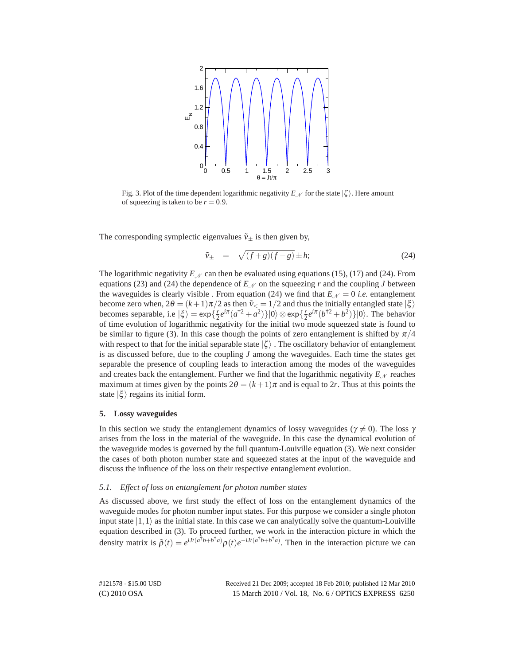

Fig. 3. Plot of the time dependent logarithmic negativity  $E_M$  for the state  $|\zeta\rangle$ . Here amount of squeezing is taken to be  $r = 0.9$ .

The corresponding symplectic eigenvalues  $\tilde{v}_{\pm}$  is then given by,

$$
\tilde{v}_{\pm} = \sqrt{(f+g)(f-g)} \pm h; \tag{24}
$$

The logarithmic negativity  $E<sub>N</sub>$  can then be evaluated using equations (15), (17) and (24). From equations (23) and (24) the dependence of  $E<sub>N</sub>$  on the squeezing *r* and the coupling *J* between the waveguides is clearly visible. From equation (24) we find that  $E_N = 0$  *i.e.* entanglement become zero when,  $2\theta = (k+1)\pi/2$  as then  $\tilde{v}_< = 1/2$  and thus the initially entangled state  $|\xi\rangle$ becomes separable, i.e  $|\xi\rangle = \exp\{\frac{r}{2}e^{i\pi}(a^{\dagger 2}+a^2)\}|0\rangle \otimes \exp\{\frac{r}{2}e^{i\pi}(b^{\dagger 2}+b^2)\}|0\rangle$ . The behavior of time evolution of logarithmic negativity for the initial two mode squeezed state is found to be similar to figure (3). In this case though the points of zero entanglement is shifted by  $\pi/4$ with respect to that for the initial separable state  $|\zeta\rangle$ . The oscillatory behavior of entanglement is as discussed before, due to the coupling *J* among the waveguides. Each time the states get separable the presence of coupling leads to interaction among the modes of the waveguides and creates back the entanglement. Further we find that the logarithmic negativity  $E_M$  reaches maximum at times given by the points  $2\theta = (k+1)\pi$  and is equal to 2*r*. Thus at this points the state  $|\xi\rangle$  regains its initial form.

# **5. Lossy waveguides**

In this section we study the entanglement dynamics of lossy waveguides ( $\gamma \neq 0$ ). The loss  $\gamma$ arises from the loss in the material of the waveguide. In this case the dynamical evolution of the waveguide modes is governed by the full quantum-Louiville equation (3). We next consider the cases of both photon number state and squeezed states at the input of the waveguide and discuss the influence of the loss on their respective entanglement evolution.

#### *5.1. Effect of loss on entanglement for photon number states*

As discussed above, we first study the effect of loss on the entanglement dynamics of the waveguide modes for photon number input states. For this purpose we consider a single photon input state  $|1,1\rangle$  as the initial state. In this case we can analytically solve the quantum-Louiville equation described in (3). To proceed further, we work in the interaction picture in which the density matrix is  $\tilde{\rho}(t) = e^{iJt(a^{\dagger}b+b^{\dagger}a)}\rho(t)e^{-iJt(a^{\dagger}b+b^{\dagger}a)}$ . Then in the interaction picture we can

(C) 2010 OSA 15 March 2010 / Vol. 18, No. 6 / OPTICS EXPRESS 6250 #121578 - \$15.00 USD Received 21 Dec 2009; accepted 18 Feb 2010; published 12 Mar 2010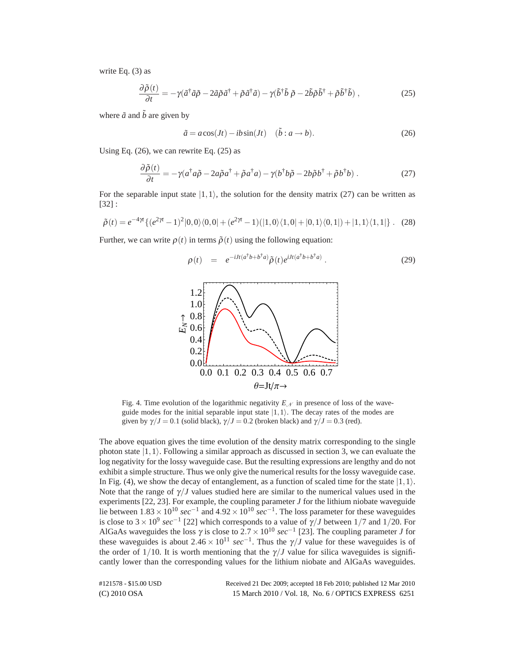write Eq. (3) as

$$
\frac{\partial \tilde{\rho}(t)}{\partial t} = -\gamma (\tilde{a}^\dagger \tilde{a}\tilde{\rho} - 2\tilde{a}\tilde{\rho}\tilde{a}^\dagger + \tilde{\rho}\tilde{a}^\dagger \tilde{a}) - \gamma (\tilde{b}^\dagger \tilde{b}\tilde{\rho} - 2\tilde{b}\tilde{\rho}\tilde{b}^\dagger + \tilde{\rho}\tilde{b}^\dagger \tilde{b}) , \qquad (25)
$$

where  $\tilde{a}$  and  $\tilde{b}$  are given by

$$
\tilde{a} = a\cos(Jt) - ib\sin(Jt) \quad (\tilde{b}: a \to b). \tag{26}
$$

Using Eq.  $(26)$ , we can rewrite Eq.  $(25)$  as

$$
\frac{\partial \tilde{\rho}(t)}{\partial t} = -\gamma (a^{\dagger} a \tilde{\rho} - 2a \tilde{\rho} a^{\dagger} + \tilde{\rho} a^{\dagger} a) - \gamma (b^{\dagger} b \tilde{\rho} - 2b \tilde{\rho} b^{\dagger} + \tilde{\rho} b^{\dagger} b) . \tag{27}
$$

For the separable input state  $|1,1\rangle$ , the solution for the density matrix (27) can be written as [32] :

$$
\tilde{\rho}(t) = e^{-4\gamma t} \{ (e^{2\gamma t} - 1)^2 |0,0\rangle\langle0,0| + (e^{2\gamma t} - 1)(|1,0\rangle\langle1,0| + |0,1\rangle\langle0,1|) + |1,1\rangle\langle1,1| \}.
$$
 (28)

Further, we can write  $\rho(t)$  in terms  $\tilde{\rho}(t)$  using the following equation:

$$
\rho(t) = e^{-iJt(a^{\dagger}b+b^{\dagger}a)}\tilde{\rho}(t)e^{iJt(a^{\dagger}b+b^{\dagger}a)}.
$$
\n(29)



Fig. 4. Time evolution of the logarithmic negativity  $E<sub>N</sub>$  in presence of loss of the waveguide modes for the initial separable input state  $|1,1\rangle$ . The decay rates of the modes are given by  $\gamma/J = 0.1$  (solid black),  $\gamma/J = 0.2$  (broken black) and  $\gamma/J = 0.3$  (red).

The above equation gives the time evolution of the density matrix corresponding to the single photon state  $|1,1\rangle$ . Following a similar approach as discussed in section 3, we can evaluate the log negativity for the lossy waveguide case. But the resulting expressions are lengthy and do not exhibit a simple structure. Thus we only give the numerical results for the lossy waveguide case. In Fig. (4), we show the decay of entanglement, as a function of scaled time for the state  $|1,1\rangle$ . Note that the range of  $\gamma$ */J* values studied here are similar to the numerical values used in the experiments  $[22, 23]$ . For example, the coupling parameter  $J$  for the lithium niobate waveguide lie between  $1.83 \times 10^{10}$  *sec*<sup>−1</sup> and  $4.92 \times 10^{10}$  *sec*<sup>−1</sup>. The loss parameter for these waveguides is close to  $3 \times 10^9$  *sec*<sup>−1</sup> [22] which corresponds to a value of  $\gamma/J$  between 1/7 and 1/20. For AlGaAs waveguides the loss  $\gamma$  is close to  $2.7 \times 10^{10}$  *sec*<sup>-1</sup> [23]. The coupling parameter *J* for these waveguides is about  $2.46 \times 10^{11} \text{ sec}^{-1}$ . Thus the  $\gamma/J$  value for these waveguides is of the order of  $1/10$ . It is worth mentioning that the  $\gamma/J$  value for silica waveguides is significantly lower than the corresponding values for the lithium niobate and AlGaAs waveguides.

(C) 2010 OSA 15 March 2010 / Vol. 18, No. 6 / OPTICS EXPRESS 6251 #121578 - \$15.00 USD Received 21 Dec 2009; accepted 18 Feb 2010; published 12 Mar 2010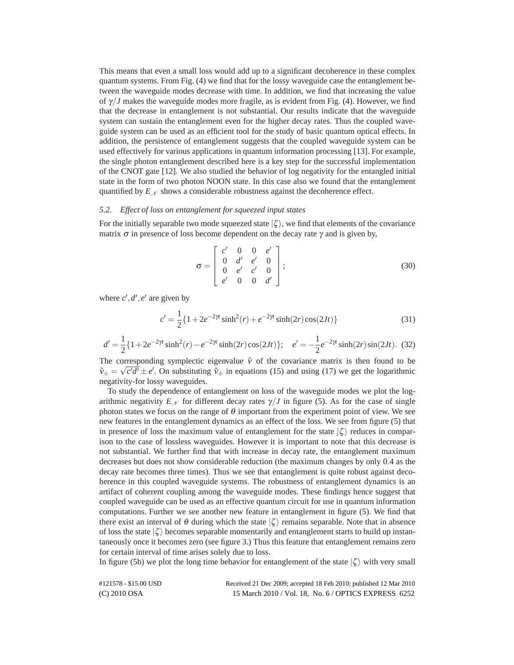This means that even a small loss would add up to a significant decoherence in these complex quantum systems. From Fig. (4) we find that for the lossy waveguide case the entanglement between the waveguide modes decrease with time. In addition, we find that increasing the value of  $\gamma$ /*J* makes the waveguide modes more fragile, as is evident from Fig. (4). However, we find that the decrease in entanglement is not substantial. Our results indicate that the waveguide system can sustain the entanglement even for the higher decay rates. Thus the coupled waveguide system can be used as an efficient tool for the study of basic quantum optical effects. In addition, the persistence of entanglement suggests that the coupled waveguide system can be used effectively for various applications in quantum information processing [13]. For example, the single photon entanglement described here is a key step for the successful implementation of the CNOT gate [12]. We also studied the behavior of log negativity for the entangled initial state in the form of two photon NOON state. In this case also we found that the entanglement quantified by *E<sup>N</sup>* shows a considerable robustness against the decoherence effect.

#### *5.2. Effect of loss on entanglement for squeezed input states*

For the initially separable two mode squeezed state  $|\zeta\rangle$ , we find that elements of the covariance matrix  $\sigma$  in presence of loss become dependent on the decay rate  $\gamma$  and is given by,

$$
\sigma = \begin{bmatrix} c' & 0 & 0 & e' \\ 0 & d' & e' & 0 \\ 0 & e' & c' & 0 \\ e' & 0 & 0 & d' \end{bmatrix};
$$
\n(30)

where  $c', d', e'$  are given by

$$
c' = \frac{1}{2} \{ 1 + 2e^{-2\gamma t} \sinh^2(r) + e^{-2\gamma t} \sinh(2r) \cos(2Jt) \}
$$
 (31)

$$
d' = \frac{1}{2} \{ 1 + 2e^{-2\gamma t} \sinh^2(r) - e^{-2\gamma t} \sinh(2r) \cos(2Jt) \}; \quad e' = -\frac{1}{2} e^{-2\gamma t} \sinh(2r) \sin(2Jt). \tag{32}
$$

The corresponding symplectic eigenvalue  $\tilde{v}$  of the covariance matrix is then found to be The corresponding symplectic eigenvalue v of the covariance matrix is then found to be  $\tilde{v}_{\pm} = \sqrt{c'd'} \pm e'$ . On substituting  $\tilde{v}_{\pm}$  in equations (15) and using (17) we get the logarithmic negativity-for lossy waveguides.

To study the dependence of entanglement on loss of the waveguide modes we plot the logarithmic negativity  $E_{\mathcal{N}}$  for different decay rates  $\gamma/J$  in figure (5). As for the case of single photon states we focus on the range of  $\theta$  important from the experiment point of view. We see new features in the entanglement dynamics as an effect of the loss. We see from figure (5) that in presence of loss the maximum value of entanglement for the state  $|\zeta\rangle$  reduces in comparison to the case of lossless waveguides. However it is important to note that this decrease is not substantial. We further find that with increase in decay rate, the entanglement maximum decreases but does not show considerable reduction (the maximum changes by only 0*.*4 as the decay rate becomes three times). Thus we see that entanglement is quite robust against decoherence in this coupled waveguide systems. The robustness of entanglement dynamics is an artifact of coherent coupling among the waveguide modes. These findings hence suggest that coupled waveguide can be used as an effective quantum circuit for use in quantum information computations. Further we see another new feature in entanglement in figure (5). We find that there exist an interval of  $\theta$  during which the state  $|\zeta\rangle$  remains separable. Note that in absence of loss the state  $|\zeta\rangle$  becomes separable momentarily and entanglement starts to build up instantaneously once it becomes zero (see figure 3.) Thus this feature that entanglement remains zero for certain interval of time arises solely due to loss.

In figure (5b) we plot the long time behavior for entanglement of the state  $|\zeta\rangle$  with very small

| #121578 - \$15.00 USD | Received 21 Dec 2009; accepted 18 Feb 2010; published 12 Mar 2010 |
|-----------------------|-------------------------------------------------------------------|
| $(C)$ 2010 OSA        | 15 March 2010 / Vol. 18, No. 6 / OPTICS EXPRESS 6252              |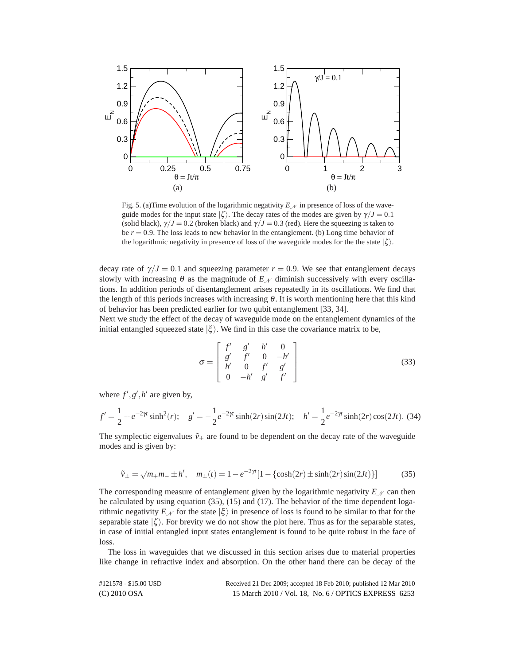

Fig. 5. (a)Time evolution of the logarithmic negativity  $E_N$  in presence of loss of the waveguide modes for the input state  $|\zeta\rangle$ . The decay rates of the modes are given by  $\gamma/J = 0.1$ (solid black),  $\gamma/J = 0.2$  (broken black) and  $\gamma/J = 0.3$  (red). Here the squeezing is taken to be  $r = 0.9$ . The loss leads to new behavior in the entanglement. (b) Long time behavior of the logarithmic negativity in presence of loss of the waveguide modes for the the state  $|\zeta\rangle$ .

decay rate of  $\gamma/J = 0.1$  and squeezing parameter  $r = 0.9$ . We see that entanglement decays slowly with increasing  $\theta$  as the magnitude of  $E_N$  diminish successively with every oscillations. In addition periods of disentanglement arises repeatedly in its oscillations. We find that the length of this periods increases with increasing  $\theta$ . It is worth mentioning here that this kind of behavior has been predicted earlier for two qubit entanglement [33, 34].

Next we study the effect of the decay of waveguide mode on the entanglement dynamics of the initial entangled squeezed state  $|\xi\rangle$ . We find in this case the covariance matrix to be,

$$
\sigma = \begin{bmatrix} f' & g' & h' & 0 \\ g' & f' & 0 & -h' \\ h' & 0 & f' & g' \\ 0 & -h' & g' & f' \end{bmatrix}
$$
 (33)

where  $f', g', h'$  are given by,

$$
f' = \frac{1}{2} + e^{-2\gamma t} \sinh^2(r); \quad g' = -\frac{1}{2} e^{-2\gamma t} \sinh(2r) \sin(2Jt); \quad h' = \frac{1}{2} e^{-2\gamma t} \sinh(2r) \cos(2Jt). \tag{34}
$$

The symplectic eigenvalues  $\tilde{v}_{\pm}$  are found to be dependent on the decay rate of the waveguide modes and is given by:

$$
\tilde{v}_{\pm} = \sqrt{m_{+}m_{-}} \pm h', \quad m_{\pm}(t) = 1 - e^{-2\gamma t} [1 - {\cosh(2r) \pm \sinh(2r) \sin(2Jt)}]
$$
(35)

The corresponding measure of entanglement given by the logarithmic negativity  $E_N$  can then be calculated by using equation (35), (15) and (17). The behavior of the time dependent logarithmic negativity  $E_N$  for the state  $|\xi\rangle$  in presence of loss is found to be similar to that for the separable state  $|\zeta\rangle$ . For brevity we do not show the plot here. Thus as for the separable states, in case of initial entangled input states entanglement is found to be quite robust in the face of loss.

The loss in waveguides that we discussed in this section arises due to material properties like change in refractive index and absorption. On the other hand there can be decay of the

| #121578 - \$15.00 USD | Received 21 Dec 2009; accepted 18 Feb 2010; published 12 Mar 2010 |
|-----------------------|-------------------------------------------------------------------|
| $(C) 2010$ OSA        | 15 March 2010 / Vol. 18, No. 6 / OPTICS EXPRESS 6253              |